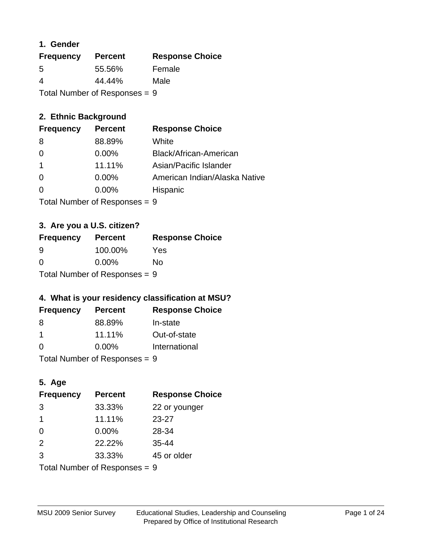## **1. Gender**

| <b>Frequency</b>                | <b>Percent</b> | <b>Response Choice</b> |
|---------------------------------|----------------|------------------------|
| 5                               | 55.56%         | Female                 |
| 4                               | 44.44%         | Male                   |
| Total Number of Responses = $9$ |                |                        |

## **2. Ethnic Background**

| <b>Frequency</b> | <b>Percent</b> | <b>Response Choice</b>        |
|------------------|----------------|-------------------------------|
| 8                | 88.89%         | White                         |
| $\Omega$         | $0.00\%$       | Black/African-American        |
|                  | 11.11%         | Asian/Pacific Islander        |
| $\Omega$         | $0.00\%$       | American Indian/Alaska Native |
|                  | 0.00%          | Hispanic                      |
|                  |                |                               |

Total Number of Responses = 9

## **3. Are you a U.S. citizen?**

| <b>Frequency</b>                | <b>Percent</b> | <b>Response Choice</b> |
|---------------------------------|----------------|------------------------|
| -9                              | 100.00%        | Yes                    |
| $\Omega$                        | $0.00\%$       | Nο                     |
| Total Number of Responses $= 9$ |                |                        |

## **4. What is your residency classification at MSU?**

| <b>Frequency</b> | <b>Percent</b> | <b>Response Choice</b> |
|------------------|----------------|------------------------|
| -8               | 88.89%         | In-state               |
| -1               | 11.11%         | Out-of-state           |
| -0               | $0.00\%$       | International          |
|                  |                |                        |

Total Number of Responses = 9

## **5. Age**

| <b>Frequency</b>              | <b>Percent</b> | <b>Response Choice</b> |
|-------------------------------|----------------|------------------------|
| 3                             | 33.33%         | 22 or younger          |
| -1                            | 11.11%         | $23 - 27$              |
| $\overline{0}$                | $0.00\%$       | 28-34                  |
| 2                             | 22.22%         | $35 - 44$              |
| 3                             | 33.33%         | 45 or older            |
| Total Number of Responses = 9 |                |                        |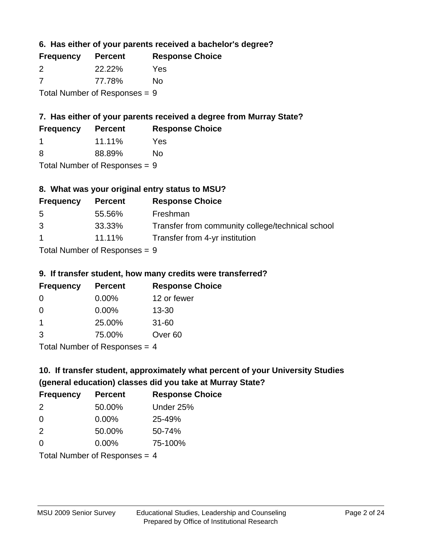**6. Has either of your parents received a bachelor's degree?**

| <b>Frequency</b>                | <b>Percent</b> | <b>Response Choice</b> |
|---------------------------------|----------------|------------------------|
| $\mathcal{P}$                   | 22.22%         | Yes                    |
| -7                              | 77.78%         | N٥                     |
| Total Number of Responses = $9$ |                |                        |

## **7. Has either of your parents received a degree from Murray State?**

| <b>Frequency</b> | <b>Percent</b> | <b>Response Choice</b> |
|------------------|----------------|------------------------|
|                  | 11.11%         | Yes                    |
|                  |                |                        |

8 88.89% No

Total Number of Responses = 9

# **8. What was your original entry status to MSU?**

| <b>Frequency</b> | <b>Percent</b> | <b>Response Choice</b>                           |
|------------------|----------------|--------------------------------------------------|
| 5                | 55.56%         | Freshman                                         |
| 3                | 33.33%         | Transfer from community college/technical school |
| $\overline{1}$   | $11.11\%$      | Transfer from 4-yr institution                   |
|                  |                |                                                  |

Total Number of Responses = 9

## **9. If transfer student, how many credits were transferred?**

| <b>Frequency</b>           | <b>Percent</b> | <b>Response Choice</b> |
|----------------------------|----------------|------------------------|
| -0                         | $0.00\%$       | 12 or fewer            |
| 0                          | $0.00\%$       | $13 - 30$              |
| 1                          | 25.00%         | $31 - 60$              |
| -3                         | 75.00%         | Over <sub>60</sub>     |
| Total Number of Deepersoon |                |                        |

Total Number of Responses = 4

# **10. If transfer student, approximately what percent of your University Studies (general education) classes did you take at Murray State?**

| <b>Frequency</b>                | <b>Percent</b> | <b>Response Choice</b> |
|---------------------------------|----------------|------------------------|
| 2                               | 50.00%         | Under 25%              |
| $\Omega$                        | $0.00\%$       | 25-49%                 |
| 2                               | 50.00%         | 50-74%                 |
| $\Omega$                        | 0.00%          | 75-100%                |
| Total Number of Responses $-$ 1 |                |                        |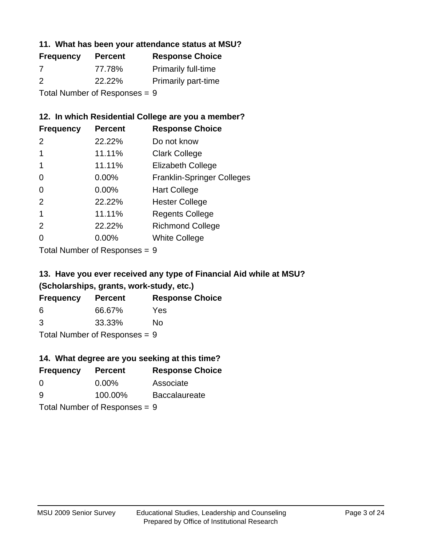## **11. What has been your attendance status at MSU?**

| <b>Frequency</b>                      | <b>Percent</b> | <b>Response Choice</b>     |
|---------------------------------------|----------------|----------------------------|
| 7                                     | 77.78%         | <b>Primarily full-time</b> |
| $\mathcal{P}$                         | 22.22%         | <b>Primarily part-time</b> |
| $T$ and Mountain of Dennes and $\sim$ |                |                            |

Total Number of Responses = 9

## **12. In which Residential College are you a member?**

| <b>Frequency</b> | <b>Percent</b> | <b>Response Choice</b>            |
|------------------|----------------|-----------------------------------|
| $\mathcal{P}$    | 22.22%         | Do not know                       |
|                  | 11.11%         | <b>Clark College</b>              |
| 1                | 11.11%         | <b>Elizabeth College</b>          |
| 0                | 0.00%          | <b>Franklin-Springer Colleges</b> |
| 0                | 0.00%          | <b>Hart College</b>               |
| 2                | 22.22%         | <b>Hester College</b>             |
|                  | 11.11%         | <b>Regents College</b>            |
| $\mathcal{P}$    | 22.22%         | <b>Richmond College</b>           |
| 0                | $0.00\%$       | <b>White College</b>              |
|                  |                |                                   |

Total Number of Responses = 9

## **13. Have you ever received any type of Financial Aid while at MSU? (Scholarships, grants, work-study, etc.)**

| <b>Frequency</b> | <b>Percent</b>              | <b>Response Choice</b> |
|------------------|-----------------------------|------------------------|
| 6                | 66.67%                      | Yes                    |
| 3                | 33.33%                      | Nο                     |
|                  | Tatal Massakan af Dagmannar |                        |

Total Number of Responses = 9

## **14. What degree are you seeking at this time?**

| <b>Frequency</b> | <b>Percent</b>                  | <b>Response Choice</b> |
|------------------|---------------------------------|------------------------|
| 0                | $0.00\%$                        | Associate              |
| 9                | 100.00%                         | <b>Baccalaureate</b>   |
|                  | Total Number of Responses = $9$ |                        |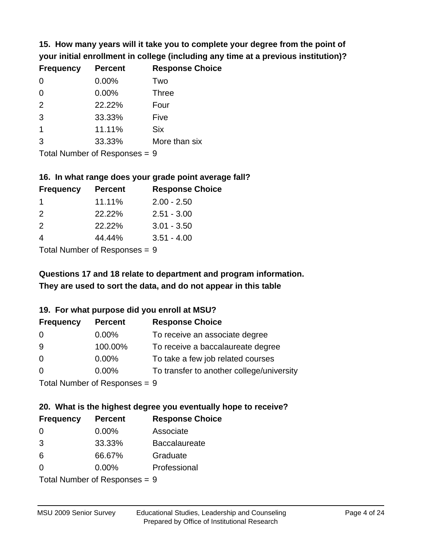**15. How many years will it take you to complete your degree from the point of your initial enrollment in college (including any time at a previous institution)?**

| <b>Frequency</b> | <b>Percent</b> | <b>Response Choice</b> |
|------------------|----------------|------------------------|
| $\Omega$         | 0.00%          | Two                    |
| 0                | 0.00%          | <b>Three</b>           |
| 2                | 22.22%         | Four                   |
| 3                | 33.33%         | Five                   |
| $\overline{1}$   | 11.11%         | <b>Six</b>             |
| 3                | 33.33%         | More than six          |
|                  |                |                        |

Total Number of Responses = 9

#### **16. In what range does your grade point average fall?**

| <b>Frequency</b> | <b>Percent</b> | <b>Response Choice</b> |
|------------------|----------------|------------------------|
|                  | 11.11%         | $2.00 - 2.50$          |
| $\mathcal{P}$    | 22.22%         | $2.51 - 3.00$          |
| $\mathcal{P}$    | 22.22%         | $3.01 - 3.50$          |
|                  | 44.44%         | $3.51 - 4.00$          |
|                  |                |                        |

Total Number of Responses = 9

## **They are used to sort the data, and do not appear in this table Questions 17 and 18 relate to department and program information.**

### **19. For what purpose did you enroll at MSU?**

| <b>Frequency</b>            | <b>Percent</b> | <b>Response Choice</b>                    |
|-----------------------------|----------------|-------------------------------------------|
| 0                           | $0.00\%$       | To receive an associate degree            |
| 9                           | 100.00%        | To receive a baccalaureate degree         |
| $\overline{0}$              | $0.00\%$       | To take a few job related courses         |
| $\Omega$                    | $0.00\%$       | To transfer to another college/university |
| Total Number of Despesses 0 |                |                                           |

Total Number of Responses = 9

# **20. What is the highest degree you eventually hope to receive?**

| <b>Frequency</b> | <b>Percent</b>             | <b>Response Choice</b> |
|------------------|----------------------------|------------------------|
| 0                | $0.00\%$                   | Associate              |
| 3                | 33.33%                     | <b>Baccalaureate</b>   |
| 6                | 66.67%                     | Graduate               |
| 0                | 0.00%                      | Professional           |
|                  | Tatal Number of Desperance |                        |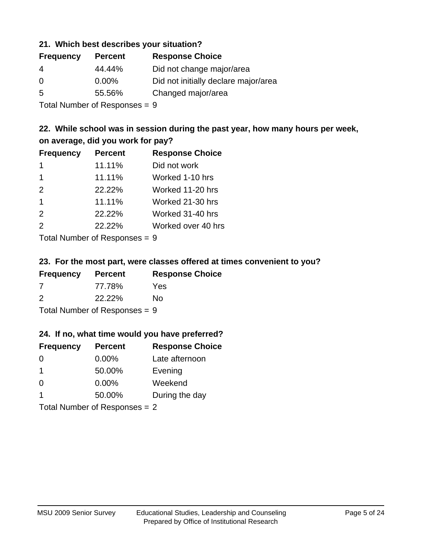### **21. Which best describes your situation?**

| <b>Frequency</b> | <b>Percent</b> | <b>Response Choice</b>               |
|------------------|----------------|--------------------------------------|
| -4               | 44.44%         | Did not change major/area            |
| $\Omega$         | $0.00\%$       | Did not initially declare major/area |
| -5               | 55.56%         | Changed major/area                   |
|                  |                |                                      |

Total Number of Responses = 9

## **22. While school was in session during the past year, how many hours per week, on average, did you work for pay?**

| <b>Frequency</b> | <b>Percent</b> | <b>Response Choice</b> |
|------------------|----------------|------------------------|
| 1                | 11.11%         | Did not work           |
| 1                | 11.11%         | Worked 1-10 hrs        |
| 2                | 22.22%         | Worked 11-20 hrs       |
| $\mathbf 1$      | 11.11%         | Worked 21-30 hrs       |
| 2                | 22.22%         | Worked 31-40 hrs       |
| 2                | 22.22%         | Worked over 40 hrs     |
|                  |                |                        |

Total Number of Responses = 9

### **23. For the most part, were classes offered at times convenient to you?**

| <b>Frequency</b>                | <b>Percent</b> | <b>Response Choice</b> |
|---------------------------------|----------------|------------------------|
| 7                               | 77.78%         | Yes                    |
| $\mathcal{P}$                   | 22.22%         | Nο                     |
| Total Number of Responses = $9$ |                |                        |

### **24. If no, what time would you have preferred?**

| <b>Frequency</b> | <b>Percent</b>                  | <b>Response Choice</b> |
|------------------|---------------------------------|------------------------|
| $\Omega$         | 0.00%                           | Late afternoon         |
| -1               | 50.00%                          | Evening                |
| $\Omega$         | $0.00\%$                        | Weekend                |
| -1               | 50.00%                          | During the day         |
|                  | Total Number of Responses $= 2$ |                        |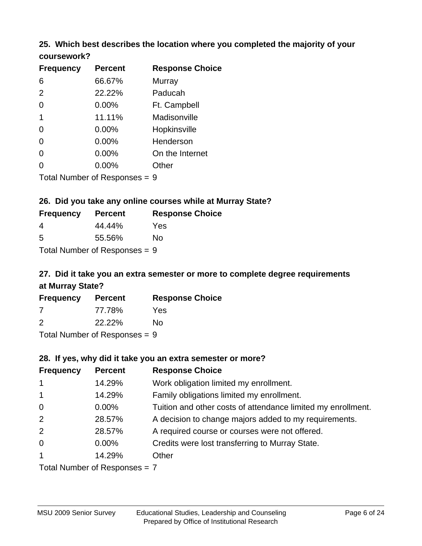### **25. Which best describes the location where you completed the majority of your coursework?**

| <b>Frequency</b> | <b>Percent</b>             | <b>Response Choice</b> |
|------------------|----------------------------|------------------------|
| 6                | 66.67%                     | Murray                 |
| 2                | 22.22%                     | Paducah                |
| 0                | $0.00\%$                   | Ft. Campbell           |
| 1                | 11.11%                     | Madisonville           |
| 0                | 0.00%                      | Hopkinsville           |
| 0                | 0.00%                      | Henderson              |
| 0                | 0.00%                      | On the Internet        |
| 0                | 0.00%                      | Other                  |
|                  | Total Number of Deepersoon | C                      |

Total Number of Responses = 9

### **26. Did you take any online courses while at Murray State?**

| <b>Frequency</b> | <b>Percent</b>                  | <b>Response Choice</b> |
|------------------|---------------------------------|------------------------|
| 4                | 44.44%                          | Yes                    |
| -5               | 55.56%                          | Nο                     |
|                  | Total Number of Responses $= 9$ |                        |

# **27. Did it take you an extra semester or more to complete degree requirements at Murray State?**

| <b>Frequency</b> | <b>Percent</b>               | <b>Response Choice</b> |
|------------------|------------------------------|------------------------|
| -7               | 77.78%                       | Yes                    |
| 2                | 22.22%                       | Nο                     |
|                  | $\tau$ . The state of $\sim$ |                        |

Total Number of Responses = 9

### **28. If yes, why did it take you an extra semester or more?**

| <b>Frequency</b> | <b>Percent</b>                | <b>Response Choice</b>                                       |
|------------------|-------------------------------|--------------------------------------------------------------|
| $\overline{1}$   | 14.29%                        | Work obligation limited my enrollment.                       |
| $\overline{1}$   | 14.29%                        | Family obligations limited my enrollment.                    |
| $\mathbf 0$      | $0.00\%$                      | Tuition and other costs of attendance limited my enrollment. |
| 2                | 28.57%                        | A decision to change majors added to my requirements.        |
| 2                | 28.57%                        | A required course or courses were not offered.               |
| $\overline{0}$   | $0.00\%$                      | Credits were lost transferring to Murray State.              |
| $\mathbf{1}$     | 14.29%                        | Other                                                        |
|                  | Total Number of Poenances - 7 |                                                              |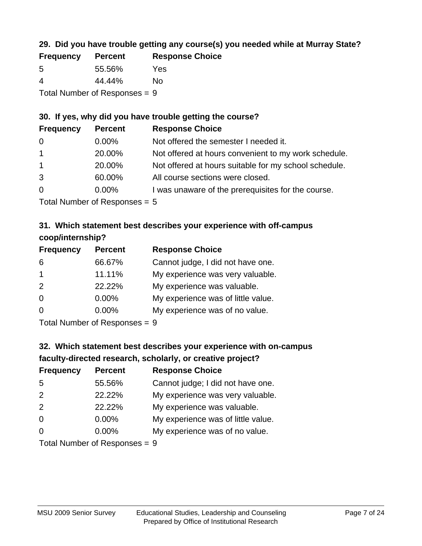## **29. Did you have trouble getting any course(s) you needed while at Murray State?**

| <b>Frequency</b> | <b>Percent</b>                  | <b>Response Choice</b> |
|------------------|---------------------------------|------------------------|
| -5               | 55.56%                          | Yes                    |
| -4               | 44.44%                          | Nο                     |
|                  | Total Number of Responses $= 9$ |                        |

## **30. If yes, why did you have trouble getting the course?**

| <b>Frequency</b> | <b>Percent</b> | <b>Response Choice</b>                                |
|------------------|----------------|-------------------------------------------------------|
| $\overline{0}$   | $0.00\%$       | Not offered the semester I needed it.                 |
| $\mathbf{1}$     | 20.00%         | Not offered at hours convenient to my work schedule.  |
| $\overline{1}$   | 20.00%         | Not offered at hours suitable for my school schedule. |
| 3                | 60.00%         | All course sections were closed.                      |
| $\overline{0}$   | $0.00\%$       | I was unaware of the prerequisites for the course.    |
|                  |                |                                                       |

Total Number of Responses = 5

## **31. Which statement best describes your experience with off-campus coop/internship?**

| <b>Frequency</b> | <b>Percent</b> | <b>Response Choice</b>             |
|------------------|----------------|------------------------------------|
| 6                | 66.67%         | Cannot judge, I did not have one.  |
| $\overline{1}$   | 11.11%         | My experience was very valuable.   |
| 2                | 22.22%         | My experience was valuable.        |
| $\overline{0}$   | $0.00\%$       | My experience was of little value. |
| $\Omega$         | 0.00%          | My experience was of no value.     |
|                  |                |                                    |

Total Number of Responses = 9

# **32. Which statement best describes your experience with on-campus faculty-directed research, scholarly, or creative project?**

| <b>Frequency</b> | <b>Percent</b> | <b>Response Choice</b>             |
|------------------|----------------|------------------------------------|
| 5                | 55.56%         | Cannot judge; I did not have one.  |
| 2                | 22.22%         | My experience was very valuable.   |
| 2                | 22.22%         | My experience was valuable.        |
| $\Omega$         | $0.00\%$       | My experience was of little value. |
| $\Omega$         | $0.00\%$       | My experience was of no value.     |
|                  |                |                                    |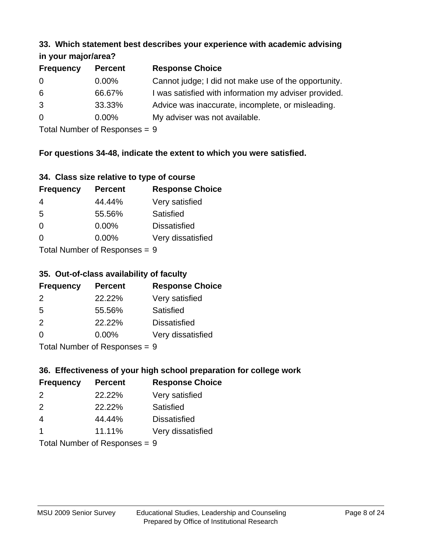#### **33. Which statement best describes your experience with academic advising in your major/area?**

| $\mathbf{u}$ yvu $\mathbf{u}$ u yvu $\mathbf{u}$ |                |                                                       |
|--------------------------------------------------|----------------|-------------------------------------------------------|
| <b>Frequency</b>                                 | <b>Percent</b> | <b>Response Choice</b>                                |
| $\overline{0}$                                   | $0.00\%$       | Cannot judge; I did not make use of the opportunity.  |
| 6                                                | 66.67%         | I was satisfied with information my adviser provided. |
| 3                                                | 33.33%         | Advice was inaccurate, incomplete, or misleading.     |
| $\overline{0}$                                   | $0.00\%$       | My adviser was not available.                         |
|                                                  |                |                                                       |

Total Number of Responses = 9

## **For questions 34-48, indicate the extent to which you were satisfied.**

| 34. Class size relative to type of course |  |  |  |  |  |  |  |  |
|-------------------------------------------|--|--|--|--|--|--|--|--|
|-------------------------------------------|--|--|--|--|--|--|--|--|

| <b>Frequency</b>                | <b>Percent</b> | <b>Response Choice</b> |  |
|---------------------------------|----------------|------------------------|--|
| 4                               | 44.44%         | Very satisfied         |  |
| 5                               | 55.56%         | Satisfied              |  |
| $\Omega$                        | 0.00%          | <b>Dissatisfied</b>    |  |
| $\Omega$                        | 0.00%          | Very dissatisfied      |  |
| Total Number of Poenonces $= 0$ |                |                        |  |

Total Number of Responses = 9

## **35. Out-of-class availability of faculty**

| <b>Frequency</b> | <b>Percent</b> | <b>Response Choice</b> |
|------------------|----------------|------------------------|
| $\mathcal{P}$    | 22.22%         | Very satisfied         |
| 5                | 55.56%         | Satisfied              |
| 2                | 22.22%         | <b>Dissatisfied</b>    |
| $\Omega$         | 0.00%          | Very dissatisfied      |
|                  |                |                        |

Total Number of Responses = 9

## **36. Effectiveness of your high school preparation for college work**

| <b>Frequency</b> | <b>Percent</b>             | <b>Response Choice</b> |  |
|------------------|----------------------------|------------------------|--|
| $\mathcal{P}$    | 22.22%                     | Very satisfied         |  |
| 2                | 22.22%                     | Satisfied              |  |
| $\overline{4}$   | 44.44%                     | <b>Dissatisfied</b>    |  |
|                  | 11.11%                     | Very dissatisfied      |  |
|                  | Tatal Number of Desperance |                        |  |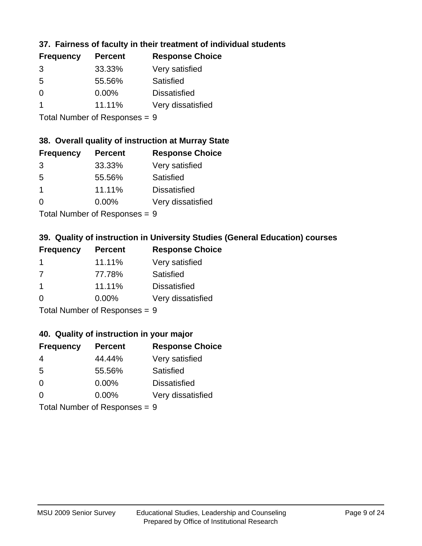## **37. Fairness of faculty in their treatment of individual students**

| <b>Frequency</b> | <b>Percent</b> | <b>Response Choice</b> |
|------------------|----------------|------------------------|
| 3                | 33.33%         | Very satisfied         |
| 5                | 55.56%         | Satisfied              |
| 0                | $0.00\%$       | <b>Dissatisfied</b>    |
|                  | 11.11%         | Very dissatisfied      |
|                  |                |                        |

Total Number of Responses = 9

### **38. Overall quality of instruction at Murray State**

| <b>Frequency</b> | <b>Percent</b> | <b>Response Choice</b> |
|------------------|----------------|------------------------|
| 3                | 33.33%         | Very satisfied         |
| .5               | 55.56%         | Satisfied              |
|                  | 11.11%         | <b>Dissatisfied</b>    |
| $\Omega$         | 0.00%          | Very dissatisfied      |
|                  |                |                        |

Total Number of Responses = 9

## **39. Quality of instruction in University Studies (General Education) courses**

| <b>Frequency</b> | <b>Percent</b> | <b>Response Choice</b> |
|------------------|----------------|------------------------|
|                  | 11.11%         | Very satisfied         |
| 7                | 77.78%         | Satisfied              |
| -1               | 11.11%         | <b>Dissatisfied</b>    |
| $\Omega$         | 0.00%          | Very dissatisfied      |
|                  |                |                        |

Total Number of Responses = 9

#### **40. Quality of instruction in your major**

| <b>Frequency</b>           | <b>Percent</b> | <b>Response Choice</b> |
|----------------------------|----------------|------------------------|
| 4                          | 44.44%         | Very satisfied         |
| 5                          | 55.56%         | Satisfied              |
| $\Omega$                   | 0.00%          | <b>Dissatisfied</b>    |
| $\Omega$                   | 0.00%          | Very dissatisfied      |
| Tatal Number of Desperance |                |                        |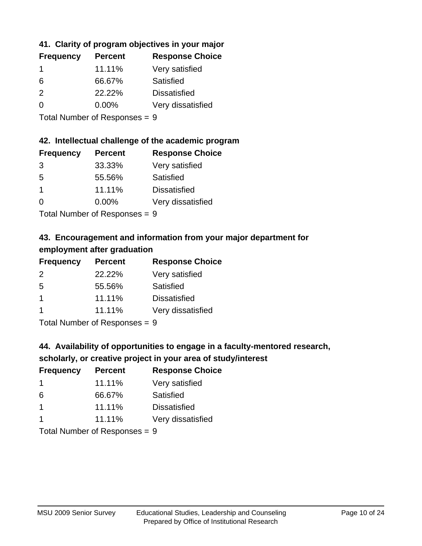## **41. Clarity of program objectives in your major**

| <b>Frequency</b> | <b>Percent</b> | <b>Response Choice</b> |
|------------------|----------------|------------------------|
|                  | 11.11%         | Very satisfied         |
| 6                | 66.67%         | Satisfied              |
| $\mathcal{P}$    | 22.22%         | <b>Dissatisfied</b>    |
| $\Omega$         | $0.00\%$       | Very dissatisfied      |
|                  |                |                        |

Total Number of Responses = 9

### **42. Intellectual challenge of the academic program**

| <b>Frequency</b> | <b>Percent</b> | <b>Response Choice</b> |
|------------------|----------------|------------------------|
| 3                | 33.33%         | Very satisfied         |
| .5               | 55.56%         | Satisfied              |
| -1               | 11.11%         | <b>Dissatisfied</b>    |
| $\Omega$         | 0.00%          | Very dissatisfied      |
|                  |                |                        |

Total Number of Responses = 9

## **43. Encouragement and information from your major department for employment after graduation**

| <b>Frequency</b>     | <b>Percent</b> | <b>Response Choice</b> |
|----------------------|----------------|------------------------|
| 2                    | 22.22%         | Very satisfied         |
| 5                    | 55.56%         | Satisfied              |
| $\blacktriangleleft$ | 11.11%         | <b>Dissatisfied</b>    |
| $\blacktriangleleft$ | 11.11%         | Very dissatisfied      |
|                      |                |                        |

Total Number of Responses = 9

# **44. Availability of opportunities to engage in a faculty-mentored research,**

### **scholarly, or creative project in your area of study/interest**

| <b>Frequency</b> | <b>Percent</b> | <b>Response Choice</b> |
|------------------|----------------|------------------------|
|                  | 11.11%         | Very satisfied         |
| 6                | 66.67%         | Satisfied              |
|                  | 11.11%         | <b>Dissatisfied</b>    |
|                  | 11.11%         | Very dissatisfied      |
|                  |                |                        |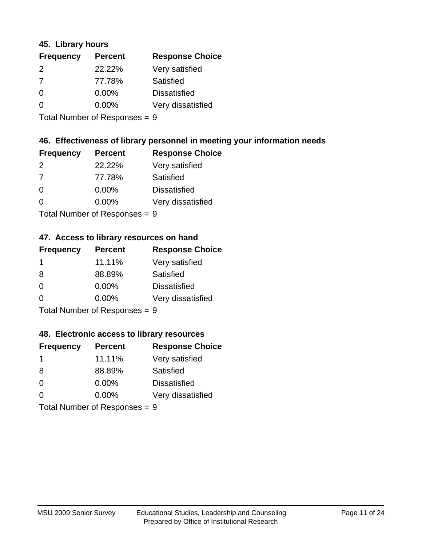### **45. Library hours**

| <b>Frequency</b> | <b>Percent</b> | <b>Response Choice</b> |
|------------------|----------------|------------------------|
| 2                | 22.22%         | Very satisfied         |
| 7                | 77.78%         | Satisfied              |
| $\Omega$         | $0.00\%$       | <b>Dissatisfied</b>    |
| $\Omega$         | $0.00\%$       | Very dissatisfied      |
|                  |                |                        |

Total Number of Responses = 9

## **46. Effectiveness of library personnel in meeting your information needs**

| <b>Frequency</b> | <b>Percent</b> | <b>Response Choice</b> |
|------------------|----------------|------------------------|
| $\mathcal{P}$    | 22.22%         | Very satisfied         |
| 7                | 77.78%         | Satisfied              |
| 0                | 0.00%          | <b>Dissatisfied</b>    |
| ∩                | $0.00\%$       | Very dissatisfied      |
|                  |                |                        |

Total Number of Responses = 9

### **47. Access to library resources on hand**

| <b>Frequency</b>          | <b>Percent</b> | <b>Response Choice</b> |
|---------------------------|----------------|------------------------|
| -1                        | 11.11%         | Very satisfied         |
| 8                         | 88.89%         | Satisfied              |
| $\Omega$                  | $0.00\%$       | <b>Dissatisfied</b>    |
| ∩                         | 0.00%          | Very dissatisfied      |
| Total Number of Deepensee |                |                        |

Total Number of Responses = 9

### **48. Electronic access to library resources**

| <b>Frequency</b>                | <b>Percent</b> | <b>Response Choice</b> |
|---------------------------------|----------------|------------------------|
| -1                              | 11.11%         | Very satisfied         |
| 8                               | 88.89%         | Satisfied              |
| $\Omega$                        | $0.00\%$       | <b>Dissatisfied</b>    |
| $\Omega$                        | $0.00\%$       | Very dissatisfied      |
| Total Number of Responses = $9$ |                |                        |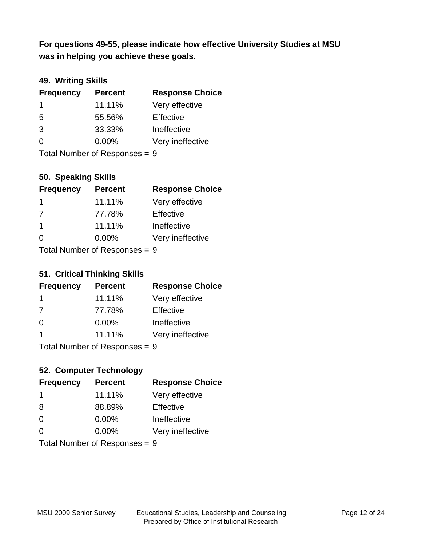**was in helping you achieve these goals. For questions 49-55, please indicate how effective University Studies at MSU** 

## **49. Writing Skills**

| <b>Frequency</b>                | <b>Percent</b> | <b>Response Choice</b> |
|---------------------------------|----------------|------------------------|
| -1                              | 11.11%         | Very effective         |
| 5                               | 55.56%         | Effective              |
| 3                               | 33.33%         | Ineffective            |
| $\Omega$                        | $0.00\%$       | Very ineffective       |
| Total Number of Responses = $9$ |                |                        |

## **50. Speaking Skills**

| <b>Frequency</b>          | <b>Percent</b> | <b>Response Choice</b> |
|---------------------------|----------------|------------------------|
| -1                        | 11.11%         | Very effective         |
| 7                         | 77.78%         | Effective              |
| -1                        | 11.11%         | Ineffective            |
| $\Omega$                  | 0.00%          | Very ineffective       |
| Total Number of Desponses |                |                        |

Total Number of Responses = 9

#### **51. Critical Thinking Skills**

| <b>Frequency</b> | <b>Percent</b> | <b>Response Choice</b> |
|------------------|----------------|------------------------|
| $\mathbf 1$      | 11.11%         | Very effective         |
| 7                | 77.78%         | Effective              |
| $\Omega$         | 0.00%          | Ineffective            |
| -1               | 11.11%         | Very ineffective       |
|                  |                |                        |

Total Number of Responses = 9

## **52. Computer Technology**

| <b>Frequency</b>              | <b>Percent</b> | <b>Response Choice</b> |
|-------------------------------|----------------|------------------------|
| -1                            | 11.11%         | Very effective         |
| 8                             | 88.89%         | Effective              |
| $\Omega$                      | 0.00%          | Ineffective            |
| $\Omega$                      | 0.00%          | Very ineffective       |
| Total Number of Responses = 9 |                |                        |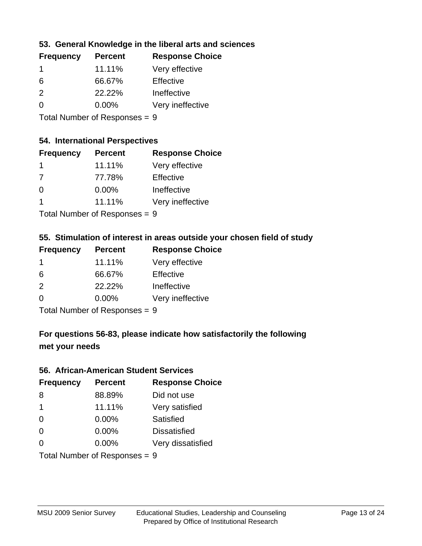## **53. General Knowledge in the liberal arts and sciences**

| <b>Frequency</b> | <b>Percent</b> | <b>Response Choice</b> |
|------------------|----------------|------------------------|
|                  | 11.11%         | Very effective         |
| 6                | 66.67%         | Effective              |
| $\mathcal{P}$    | 22.22%         | Ineffective            |
| $\Omega$         | $0.00\%$       | Very ineffective       |
|                  |                |                        |

Total Number of Responses = 9

#### **54. International Perspectives**

| <b>Frequency</b> | <b>Percent</b> | <b>Response Choice</b> |
|------------------|----------------|------------------------|
| 1                | 11.11%         | Very effective         |
| -7               | 77.78%         | Effective              |
| $\Omega$         | 0.00%          | Ineffective            |
| 1                | 11.11%         | Very ineffective       |
|                  |                |                        |

Total Number of Responses = 9

### **55. Stimulation of interest in areas outside your chosen field of study**

| <b>Frequency</b> | <b>Percent</b>              | <b>Response Choice</b> |
|------------------|-----------------------------|------------------------|
| 1                | 11.11%                      | Very effective         |
| 6                | 66.67%                      | Effective              |
| 2                | 22.22%                      | Ineffective            |
| $\Omega$         | 0.00%                       | Very ineffective       |
|                  | Tatal Manuela and Dannanana |                        |

Total Number of Responses = 9

## **For questions 56-83, please indicate how satisfactorily the following met your needs**

#### **56. African-American Student Services**

| <b>Frequency</b> | <b>Percent</b>                  | <b>Response Choice</b> |
|------------------|---------------------------------|------------------------|
| 8                | 88.89%                          | Did not use            |
| $\overline{1}$   | 11.11%                          | Very satisfied         |
| $\Omega$         | 0.00%                           | <b>Satisfied</b>       |
| $\Omega$         | $0.00\%$                        | <b>Dissatisfied</b>    |
| $\Omega$         | 0.00%                           | Very dissatisfied      |
|                  | Total Number of Responses = $9$ |                        |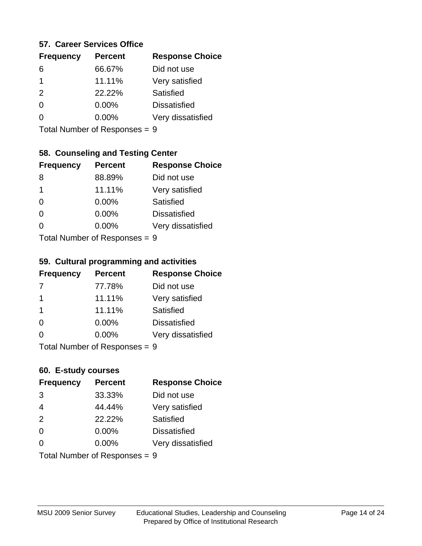### **57. Career Services Office**

| <b>Frequency</b> | <b>Percent</b> | <b>Response Choice</b> |
|------------------|----------------|------------------------|
| 6                | 66.67%         | Did not use            |
| 1                | 11.11%         | Very satisfied         |
| 2                | 22.22%         | Satisfied              |
|                  | $0.00\%$       | <b>Dissatisfied</b>    |
|                  | $0.00\%$       | Very dissatisfied      |
|                  |                |                        |

Total Number of Responses = 9

## **58. Counseling and Testing Center**

| <b>Frequency</b> | <b>Percent</b>             | <b>Response Choice</b> |
|------------------|----------------------------|------------------------|
| 8                | 88.89%                     | Did not use            |
| 1                | 11.11%                     | Very satisfied         |
| $\Omega$         | 0.00%                      | Satisfied              |
| $\Omega$         | 0.00%                      | <b>Dissatisfied</b>    |
| 0                | $0.00\%$                   | Very dissatisfied      |
|                  | Total Number of Deepersoon |                        |

Total Number of Responses = 9

#### **59. Cultural programming and activities**

| <b>Frequency</b> | <b>Percent</b>             | <b>Response Choice</b> |
|------------------|----------------------------|------------------------|
| -7               | 77.78%                     | Did not use            |
| $\mathbf 1$      | 11.11%                     | Very satisfied         |
| $\mathbf 1$      | 11.11%                     | <b>Satisfied</b>       |
| $\Omega$         | $0.00\%$                   | <b>Dissatisfied</b>    |
| ∩                | $0.00\%$                   | Very dissatisfied      |
|                  | Total Number of Deepersoon |                        |

Total Number of Responses = 9

### **60. E-study courses**

| <b>Frequency</b> | <b>Percent</b>                | <b>Response Choice</b> |
|------------------|-------------------------------|------------------------|
| 3                | 33.33%                        | Did not use            |
| $\overline{4}$   | 44.44%                        | Very satisfied         |
| 2                | 22.22%                        | Satisfied              |
| $\Omega$         | $0.00\%$                      | <b>Dissatisfied</b>    |
| $\Omega$         | 0.00%                         | Very dissatisfied      |
|                  | Total Number of Responses = 9 |                        |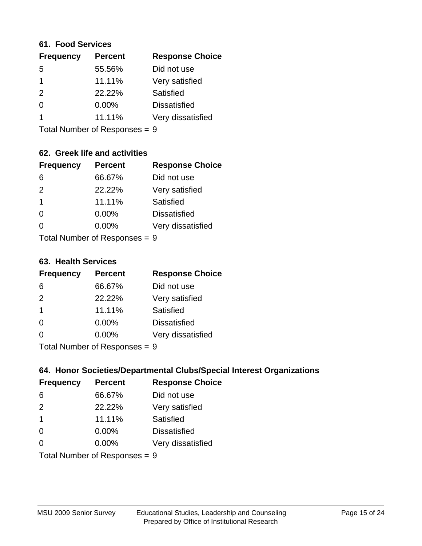### **61. Food Services**

| <b>Frequency</b> | <b>Percent</b> | <b>Response Choice</b> |
|------------------|----------------|------------------------|
| 5                | 55.56%         | Did not use            |
|                  | 11.11%         | Very satisfied         |
| $\mathcal{P}$    | 22.22%         | Satisfied              |
| 0                | $0.00\%$       | <b>Dissatisfied</b>    |
|                  | 11.11%         | Very dissatisfied      |
|                  |                |                        |

Total Number of Responses = 9

## **62. Greek life and activities**

| <b>Frequency</b>           | <b>Percent</b> | <b>Response Choice</b> |
|----------------------------|----------------|------------------------|
| 6                          | 66.67%         | Did not use            |
| 2                          | 22.22%         | Very satisfied         |
| 1                          | 11.11%         | Satisfied              |
| $\Omega$                   | 0.00%          | <b>Dissatisfied</b>    |
| ∩                          | 0.00%          | Very dissatisfied      |
| Total Number of Decononces |                |                        |

Total Number of Responses = 9

#### **63. Health Services**

| <b>Frequency</b> | <b>Percent</b> | <b>Response Choice</b> |
|------------------|----------------|------------------------|
| 6                | 66.67%         | Did not use            |
| 2                | 22.22%         | Very satisfied         |
| $\mathbf 1$      | 11.11%         | Satisfied              |
| $\Omega$         | 0.00%          | <b>Dissatisfied</b>    |
| $\Omega$         | 0.00%          | Very dissatisfied      |
|                  |                |                        |

Total Number of Responses = 9

## **64. Honor Societies/Departmental Clubs/Special Interest Organizations**

| <b>Frequency</b> | <b>Percent</b>                | <b>Response Choice</b> |
|------------------|-------------------------------|------------------------|
| 6                | 66.67%                        | Did not use            |
| 2                | 22.22%                        | Very satisfied         |
| $\mathbf 1$      | 11.11%                        | <b>Satisfied</b>       |
| $\Omega$         | $0.00\%$                      | <b>Dissatisfied</b>    |
| $\Omega$         | 0.00%                         | Very dissatisfied      |
|                  | Total Number of Responses = 9 |                        |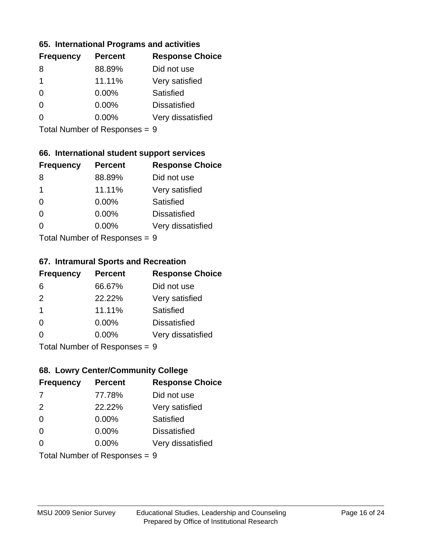### **65. International Programs and activities**

| <b>Frequency</b> | <b>Percent</b> | <b>Response Choice</b> |
|------------------|----------------|------------------------|
| 8                | 88.89%         | Did not use            |
| 1                | 11.11%         | Very satisfied         |
| O                | $0.00\%$       | Satisfied              |
| O                | $0.00\%$       | <b>Dissatisfied</b>    |
|                  | $0.00\%$       | Very dissatisfied      |
|                  |                |                        |

Total Number of Responses = 9

## **66. International student support services**

| <b>Frequency</b> | <b>Percent</b>             | <b>Response Choice</b> |
|------------------|----------------------------|------------------------|
| 8                | 88.89%                     | Did not use            |
| 1                | 11.11%                     | Very satisfied         |
| $\Omega$         | 0.00%                      | <b>Satisfied</b>       |
| $\Omega$         | 0.00%                      | <b>Dissatisfied</b>    |
| 0                | 0.00%                      | Very dissatisfied      |
|                  | Total Number of Deepersoon |                        |

Total Number of Responses = 9

#### **67. Intramural Sports and Recreation**

| <b>Frequency</b>          | <b>Percent</b> | <b>Response Choice</b> |
|---------------------------|----------------|------------------------|
| 6                         | 66.67%         | Did not use            |
| 2                         | 22.22%         | Very satisfied         |
| $\overline{1}$            | 11.11%         | <b>Satisfied</b>       |
| $\Omega$                  | $0.00\%$       | <b>Dissatisfied</b>    |
| ∩                         | 0.00%          | Very dissatisfied      |
| Total Number of Desponses |                |                        |

Total Number of Responses = 9

## **68. Lowry Center/Community College**

| <b>Frequency</b>              | <b>Percent</b> | <b>Response Choice</b> |
|-------------------------------|----------------|------------------------|
|                               | 77.78%         | Did not use            |
| 2                             | 22.22%         | Very satisfied         |
| $\Omega$                      | 0.00%          | Satisfied              |
| $\Omega$                      | 0.00%          | <b>Dissatisfied</b>    |
| 0                             | $0.00\%$       | Very dissatisfied      |
| Total Number of Responses = 9 |                |                        |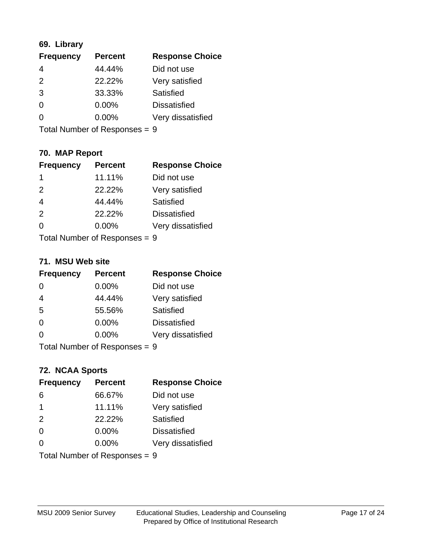## **69. Library**

| <b>Frequency</b> | <b>Percent</b> | <b>Response Choice</b> |
|------------------|----------------|------------------------|
| 4                | 44.44%         | Did not use            |
| 2                | 22.22%         | Very satisfied         |
| 3                | 33.33%         | Satisfied              |
| $\Omega$         | $0.00\%$       | <b>Dissatisfied</b>    |
| 0                | $0.00\%$       | Very dissatisfied      |
|                  |                |                        |

Total Number of Responses = 9

## **70. MAP Report**

| <b>Frequency</b>              | <b>Percent</b> | <b>Response Choice</b> |
|-------------------------------|----------------|------------------------|
| 1                             | 11.11%         | Did not use            |
| 2                             | 22.22%         | Very satisfied         |
| $\overline{4}$                | 44.44%         | Satisfied              |
| 2                             | 22.22%         | <b>Dissatisfied</b>    |
| ∩                             | 0.00%          | Very dissatisfied      |
| Total Number of Responses = 9 |                |                        |

### **71. MSU Web site**

| <b>Frequency</b>              | <b>Percent</b> | <b>Response Choice</b> |
|-------------------------------|----------------|------------------------|
| $\Omega$                      | 0.00%          | Did not use            |
| $\overline{4}$                | 44.44%         | Very satisfied         |
| 5                             | 55.56%         | Satisfied              |
| $\Omega$                      | 0.00%          | <b>Dissatisfied</b>    |
| $\Omega$                      | 0.00%          | Very dissatisfied      |
| Total Number of Responses = 9 |                |                        |

## **72. NCAA Sports**

| <b>Frequency</b> | <b>Percent</b>                | <b>Response Choice</b> |
|------------------|-------------------------------|------------------------|
| 6                | 66.67%                        | Did not use            |
| $\overline{1}$   | 11.11%                        | Very satisfied         |
| 2                | 22.22%                        | <b>Satisfied</b>       |
| $\Omega$         | $0.00\%$                      | <b>Dissatisfied</b>    |
| $\Omega$         | $0.00\%$                      | Very dissatisfied      |
|                  | Total Number of Responses = 9 |                        |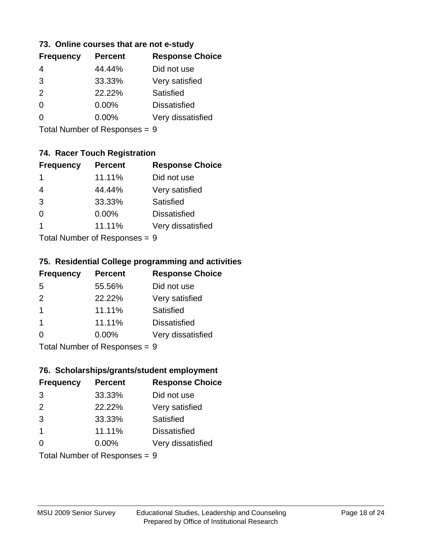### **73. Online courses that are not e-study**

| <b>Frequency</b> | <b>Percent</b> | <b>Response Choice</b> |
|------------------|----------------|------------------------|
|                  | 44.44%         | Did not use            |
| 3                | 33.33%         | Very satisfied         |
| 2                | 22.22%         | Satisfied              |
| 0                | $0.00\%$       | <b>Dissatisfied</b>    |
|                  | $0.00\%$       | Very dissatisfied      |
|                  |                |                        |

Total Number of Responses = 9

## **74. Racer Touch Registration**

| <b>Frequency</b>                                                                            | <b>Percent</b> | <b>Response Choice</b> |
|---------------------------------------------------------------------------------------------|----------------|------------------------|
| 1                                                                                           | 11.11%         | Did not use            |
|                                                                                             | 44.44%         | Very satisfied         |
| 3                                                                                           | 33.33%         | <b>Satisfied</b>       |
| 0                                                                                           | $0.00\%$       | <b>Dissatisfied</b>    |
| 1                                                                                           | 11.11%         | Very dissatisfied      |
| $T$ at all $\lambda$ becomes become a $\lambda$ $\mathbf{D}$ and $\lambda$ are a second set |                |                        |

Total Number of Responses = 9

## **75. Residential College programming and activities**

| <b>Frequency</b> | <b>Percent</b> | <b>Response Choice</b> |
|------------------|----------------|------------------------|
| 5                | 55.56%         | Did not use            |
| $\mathcal{P}$    | 22.22%         | Very satisfied         |
| $\overline{1}$   | 11.11%         | Satisfied              |
| $\overline{1}$   | 11.11%         | <b>Dissatisfied</b>    |
| $\Omega$         | $0.00\%$       | Very dissatisfied      |
|                  |                |                        |

Total Number of Responses = 9

### **76. Scholarships/grants/student employment**

| <b>Frequency</b> | <b>Percent</b>                | <b>Response Choice</b> |
|------------------|-------------------------------|------------------------|
| 3                | 33.33%                        | Did not use            |
| 2                | 22.22%                        | Very satisfied         |
| 3                | 33.33%                        | Satisfied              |
| $\mathbf 1$      | 11.11%                        | <b>Dissatisfied</b>    |
| $\Omega$         | $0.00\%$                      | Very dissatisfied      |
|                  | Total Number of Responses = 9 |                        |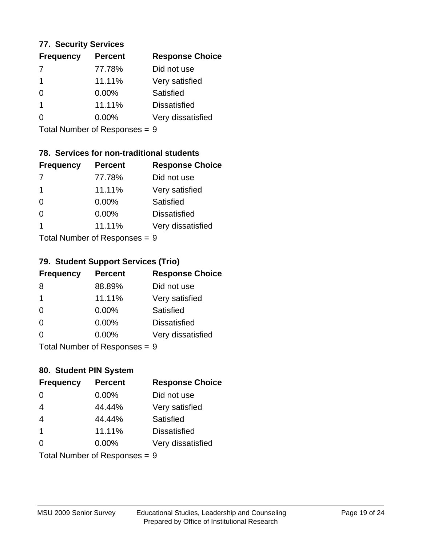## **77. Security Services**

| <b>Frequency</b> | <b>Percent</b> | <b>Response Choice</b> |
|------------------|----------------|------------------------|
| 7                | 77.78%         | Did not use            |
|                  | 11.11%         | Very satisfied         |
| 0                | $0.00\%$       | Satisfied              |
|                  | 11.11%         | <b>Dissatisfied</b>    |
|                  | $0.00\%$       | Very dissatisfied      |
|                  |                |                        |

Total Number of Responses = 9

## **78. Services for non-traditional students**

| <b>Frequency</b>           | <b>Percent</b> | <b>Response Choice</b> |
|----------------------------|----------------|------------------------|
|                            | 77.78%         | Did not use            |
| -1                         | 11.11%         | Very satisfied         |
| $\Omega$                   | 0.00%          | Satisfied              |
| $\Omega$                   | 0.00%          | <b>Dissatisfied</b>    |
| 1                          | 11.11%         | Very dissatisfied      |
| Total Number of Deepersoon |                |                        |

Total Number of Responses = 9

## **79. Student Support Services (Trio)**

| <b>Frequency</b> | <b>Percent</b>             | <b>Response Choice</b> |  |
|------------------|----------------------------|------------------------|--|
| 8                | 88.89%                     | Did not use            |  |
| -1               | 11.11%                     | Very satisfied         |  |
| $\Omega$         | $0.00\%$                   | <b>Satisfied</b>       |  |
| $\Omega$         | $0.00\%$                   | <b>Dissatisfied</b>    |  |
| ∩                | $0.00\%$                   | Very dissatisfied      |  |
|                  | Total Number of Deepersoon |                        |  |

Total Number of Responses = 9

## **80. Student PIN System**

| <b>Frequency</b>        | <b>Percent</b>                | <b>Response Choice</b> |
|-------------------------|-------------------------------|------------------------|
| $\Omega$                | 0.00%                         | Did not use            |
| $\overline{4}$          | 44.44%                        | Very satisfied         |
| $\overline{4}$          | 44.44%                        | Satisfied              |
| $\overline{\mathbf{1}}$ | 11.11%                        | <b>Dissatisfied</b>    |
| $\Omega$                | 0.00%                         | Very dissatisfied      |
|                         | Total Number of Responses = 9 |                        |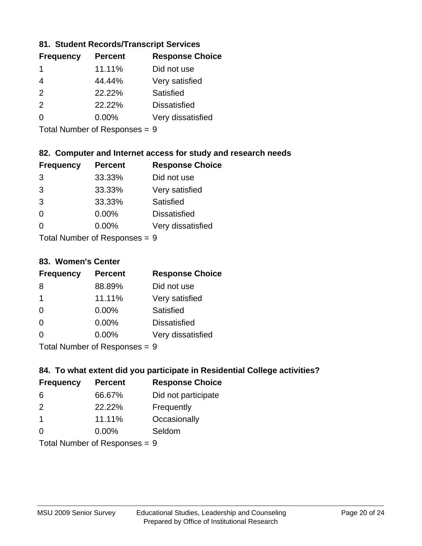## **81. Student Records/Transcript Services**

| <b>Frequency</b> | <b>Percent</b> | <b>Response Choice</b> |
|------------------|----------------|------------------------|
|                  | 11.11%         | Did not use            |
| 4                | 44.44%         | Very satisfied         |
| $\mathcal{P}$    | 22.22%         | Satisfied              |
| $\mathcal{P}$    | 22.22%         | <b>Dissatisfied</b>    |
| $\Omega$         | $0.00\%$       | Very dissatisfied      |

Total Number of Responses = 9

## **82. Computer and Internet access for study and research needs**

| <b>Frequency</b> | <b>Percent</b>                                                                                                  | <b>Response Choice</b> |  |
|------------------|-----------------------------------------------------------------------------------------------------------------|------------------------|--|
| 3                | 33.33%                                                                                                          | Did not use            |  |
| 3                | 33.33%                                                                                                          | Very satisfied         |  |
| 3                | 33.33%                                                                                                          | Satisfied              |  |
| $\Omega$         | 0.00%                                                                                                           | <b>Dissatisfied</b>    |  |
| $\Omega$         | 0.00%                                                                                                           | Very dissatisfied      |  |
|                  | The Little and the Little Communication of the Communication of the Communication of the Communication of the U |                        |  |

Total Number of Responses = 9

#### **83. Women's Center**

| <b>Frequency</b> | <b>Percent</b>                                                                                                 | <b>Response Choice</b> |
|------------------|----------------------------------------------------------------------------------------------------------------|------------------------|
| 8                | 88.89%                                                                                                         | Did not use            |
| $\mathbf 1$      | 11.11%                                                                                                         | Very satisfied         |
| $\Omega$         | 0.00%                                                                                                          | Satisfied              |
| $\Omega$         | 0.00%                                                                                                          | <b>Dissatisfied</b>    |
| 0                | 0.00%                                                                                                          | Very dissatisfied      |
|                  | The INDIAN Contract Contract in the Contract of Contract of Contract of Contract of Contract of Contract of Co |                        |

Total Number of Responses = 9

## **84. To what extent did you participate in Residential College activities?**

| <b>Frequency</b>           | <b>Percent</b> | <b>Response Choice</b> |  |
|----------------------------|----------------|------------------------|--|
| 6                          | 66.67%         | Did not participate    |  |
| $\mathcal{P}$              | 22.22%         | Frequently             |  |
| -1                         | 11.11%         | Occasionally           |  |
| $\Omega$                   | 0.00%          | Seldom                 |  |
| Tetal Number of Desperance |                |                        |  |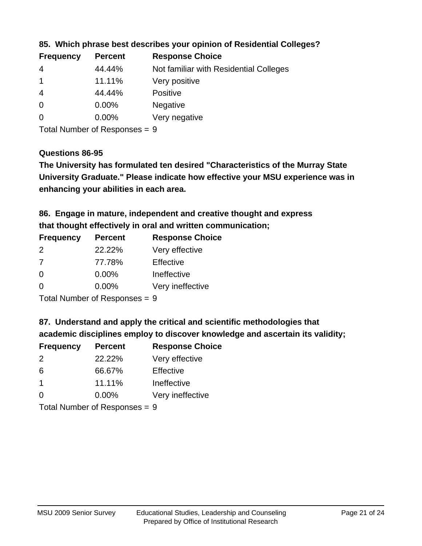| <b>Frequency</b> | <b>Percent</b> | <b>Response Choice</b>                 |
|------------------|----------------|----------------------------------------|
| 4                | 44.44%         | Not familiar with Residential Colleges |
|                  | 11.11%         | Very positive                          |
| -4               | 44.44%         | <b>Positive</b>                        |
| $\overline{0}$   | 0.00%          | <b>Negative</b>                        |
| 0                | $0.00\%$       | Very negative                          |
|                  |                |                                        |

## **85. Which phrase best describes your opinion of Residential Colleges?**

Total Number of Responses = 9

### **Questions 86-95**

**University Graduate." Please indicate how effective your MSU experience was in The University has formulated ten desired "Characteristics of the Murray State enhancing your abilities in each area.**

**86. Engage in mature, independent and creative thought and express that thought effectively in oral and written communication;**

| <b>Percent</b> | <b>Response Choice</b> |
|----------------|------------------------|
| 22.22%         | Very effective         |
| 77.78%         | Effective              |
| 0.00%          | Ineffective            |
| $0.00\%$       | Very ineffective       |
|                |                        |

Total Number of Responses = 9

**87. Understand and apply the critical and scientific methodologies that** 

**academic disciplines employ to discover knowledge and ascertain its validity;**

| <b>Frequency</b> | <b>Percent</b> | <b>Response Choice</b> |
|------------------|----------------|------------------------|
| $\mathcal{P}$    | 22.22%         | Very effective         |
| 6                | 66.67%         | Effective              |
|                  | 11.11%         | Ineffective            |
| $\Omega$         | 0.00%          | Very ineffective       |
|                  |                |                        |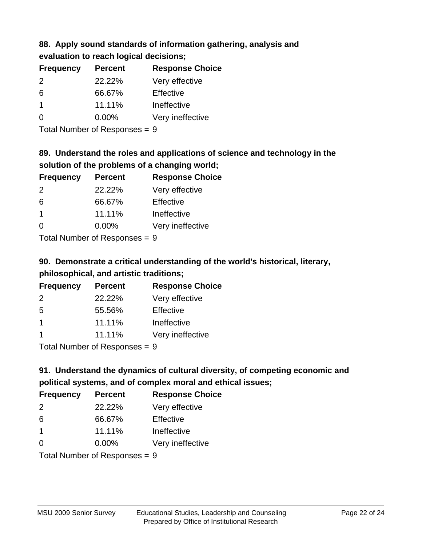# **88. Apply sound standards of information gathering, analysis and evaluation to reach logical decisions;**

| <b>Frequency</b> | <b>Percent</b> | <b>Response Choice</b> |
|------------------|----------------|------------------------|
| $\mathcal{P}$    | 22.22%         | Very effective         |
| 6                | 66.67%         | Effective              |
|                  | 11.11%         | Ineffective            |
| $\left($         | $0.00\%$       | Very ineffective       |

Total Number of Responses = 9

# **89. Understand the roles and applications of science and technology in the solution of the problems of a changing world;**

| <b>Frequency</b> | <b>Percent</b>               | <b>Response Choice</b> |
|------------------|------------------------------|------------------------|
| 2                | 22.22%                       | Very effective         |
| 6                | 66.67%                       | Effective              |
| $\overline{1}$   | 11.11%                       | Ineffective            |
| $\Omega$         | 0.00%                        | Very ineffective       |
|                  | $\tau$ . The state of $\sim$ |                        |

Total Number of Responses = 9

# **90. Demonstrate a critical understanding of the world's historical, literary, philosophical, and artistic traditions;**

| <b>Frequency</b> | <b>Percent</b> | <b>Response Choice</b> |
|------------------|----------------|------------------------|
| $\mathcal{P}$    | 22.22%         | Very effective         |
| 5                | 55.56%         | Effective              |
|                  | 11.11%         | Ineffective            |
|                  | 11.11%         | Very ineffective       |
|                  |                |                        |

Total Number of Responses = 9

# **91. Understand the dynamics of cultural diversity, of competing economic and political systems, and of complex moral and ethical issues;**

| <b>Frequency</b>                | <b>Percent</b> | <b>Response Choice</b> |
|---------------------------------|----------------|------------------------|
| 2                               | 22.22%         | Very effective         |
| 6                               | 66.67%         | Effective              |
| $\overline{1}$                  | 11.11%         | Ineffective            |
| $\Omega$                        | $0.00\%$       | Very ineffective       |
| Total Number of Responses = $9$ |                |                        |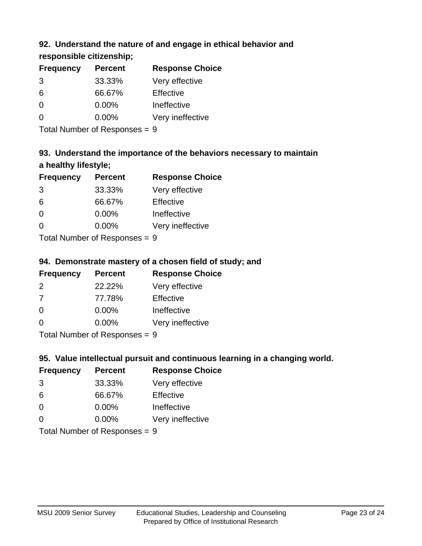## **92. Understand the nature of and engage in ethical behavior and**

**responsible citizenship;**

| <b>Frequency</b> | <b>Percent</b> | <b>Response Choice</b> |
|------------------|----------------|------------------------|
| 3                | 33.33%         | Very effective         |
| 6                | 66.67%         | Effective              |
| 0                | $0.00\%$       | Ineffective            |
| $\Omega$         | $0.00\%$       | Very ineffective       |
|                  |                |                        |

Total Number of Responses = 9

# **93. Understand the importance of the behaviors necessary to maintain a healthy lifestyle;**

| <b>Frequency</b> | <b>Percent</b> | <b>Response Choice</b> |
|------------------|----------------|------------------------|
| 3                | 33.33%         | Very effective         |
| 6                | 66.67%         | Effective              |
| $\Omega$         | 0.00%          | Ineffective            |
| $\Omega$         | 0.00%          | Very ineffective       |
|                  |                |                        |

Total Number of Responses = 9

## **94. Demonstrate mastery of a chosen field of study; and**

| <b>Frequency</b> | <b>Percent</b> | <b>Response Choice</b> |
|------------------|----------------|------------------------|
| $\mathcal{P}$    | 22.22%         | Very effective         |
| 7                | 77.78%         | Effective              |
| $\Omega$         | $0.00\%$       | Ineffective            |
| 0                | $0.00\%$       | Very ineffective       |
|                  |                |                        |

Total Number of Responses = 9

## **95. Value intellectual pursuit and continuous learning in a changing world.**

| <b>Frequency</b> | <b>Percent</b> | <b>Response Choice</b> |
|------------------|----------------|------------------------|
| 3                | 33.33%         | Very effective         |
| 6                | 66.67%         | Effective              |
| $\Omega$         | 0.00%          | Ineffective            |
| ∩                | 0.00%          | Very ineffective       |
|                  |                |                        |